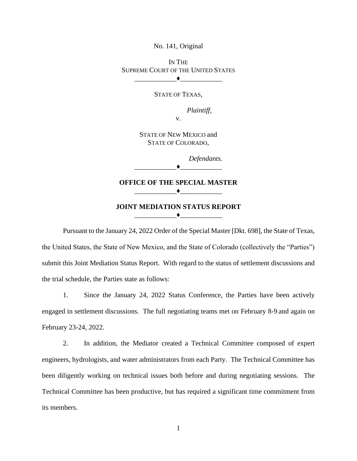No. 141, Original

IN THE SUPREME COURT OF THE UNITED STATES  $\blacktriangleright$   $\blacktriangleright$   $\dashv$   $\blacktriangleright$   $\dashv$   $\dashv$   $\dashv$   $\dashv$ 

STATE OF TEXAS,

*Plaintiff,*

v.

STATE OF NEW MEXICO and STATE OF COLORADO,

*Defendants.*

 $\blacklozenge$ 

**OFFICE OF THE SPECIAL MASTER** \_\_\_\_\_\_\_\_\_\_\_\_♦\_\_\_\_\_\_\_\_\_\_\_\_

**JOINT MEDIATION STATUS REPORT**  $\rightarrow$ 

Pursuant to the January 24, 2022 Order of the Special Master [Dkt. 698], the State of Texas, the United States, the State of New Mexico, and the State of Colorado (collectively the "Parties") submit this Joint Mediation Status Report. With regard to the status of settlement discussions and the trial schedule, the Parties state as follows:

1. Since the January 24, 2022 Status Conference, the Parties have been actively engaged in settlement discussions. The full negotiating teams met on February 8-9 and again on February 23-24, 2022.

2. In addition, the Mediator created a Technical Committee composed of expert engineers, hydrologists, and water administrators from each Party. The Technical Committee has been diligently working on technical issues both before and during negotiating sessions. The Technical Committee has been productive, but has required a significant time commitment from its members.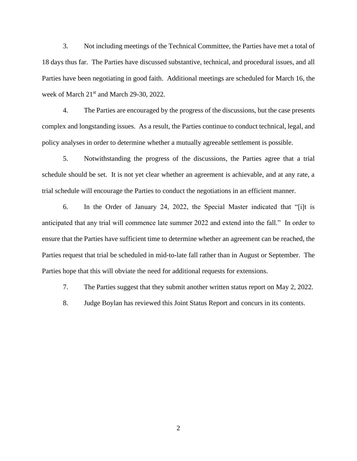3. Not including meetings of the Technical Committee, the Parties have met a total of 18 days thus far. The Parties have discussed substantive, technical, and procedural issues, and all Parties have been negotiating in good faith. Additional meetings are scheduled for March 16, the week of March 21<sup>st</sup> and March 29-30, 2022.

4. The Parties are encouraged by the progress of the discussions, but the case presents complex and longstanding issues. As a result, the Parties continue to conduct technical, legal, and policy analyses in order to determine whether a mutually agreeable settlement is possible.

5. Notwithstanding the progress of the discussions, the Parties agree that a trial schedule should be set. It is not yet clear whether an agreement is achievable, and at any rate, a trial schedule will encourage the Parties to conduct the negotiations in an efficient manner.

6. In the Order of January 24, 2022, the Special Master indicated that "[i]t is anticipated that any trial will commence late summer 2022 and extend into the fall." In order to ensure that the Parties have sufficient time to determine whether an agreement can be reached, the Parties request that trial be scheduled in mid-to-late fall rather than in August or September. The Parties hope that this will obviate the need for additional requests for extensions.

7. The Parties suggest that they submit another written status report on May 2, 2022.

8. Judge Boylan has reviewed this Joint Status Report and concurs in its contents.

2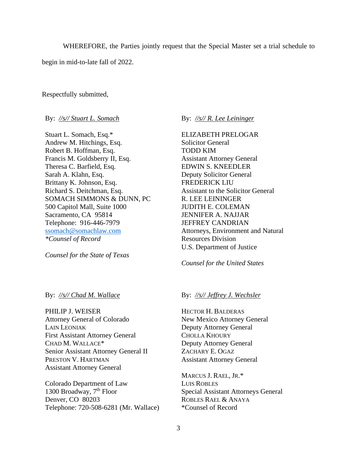WHEREFORE, the Parties jointly request that the Special Master set a trial schedule to

begin in mid-to-late fall of 2022.

Respectfully submitted,

By: *//s// Stuart L. Somach*

Stuart L. Somach, Esq.\* Andrew M. Hitchings, Esq. Robert B. Hoffman, Esq. Francis M. Goldsberry II, Esq. Theresa C. Barfield, Esq. Sarah A. Klahn, Esq. Brittany K. Johnson, Esq. Richard S. Deitchman, Esq. SOMACH SIMMONS & DUNN, PC 500 Capitol Mall, Suite 1000 Sacramento, CA 95814 Telephone: 916-446-7979 [ssomach@somachlaw.com](mailto:ssomach@somachlaw.com) *\*Counsel of Record*

*Counsel for the State of Texas*

### By: *//s// Chad M. Wallace*

PHILIP J. WEISER Attorney General of Colorado LAIN LEONIAK First Assistant Attorney General CHAD M. WALLACE\* Senior Assistant Attorney General II PRESTON V. HARTMAN Assistant Attorney General

Colorado Department of Law 1300 Broadway, 7<sup>th</sup> Floor Denver, CO 80203 Telephone: 720-508-6281 (Mr. Wallace) By: *//s// R. Lee Leininger*

ELIZABETH PRELOGAR Solicitor General TODD KIM Assistant Attorney General EDWIN S. KNEEDLER Deputy Solicitor General FREDERICK LIU Assistant to the Solicitor General R. LEE LEININGER JUDITH E. COLEMAN JENNIFER A. NAJJAR JEFFREY CANDRIAN Attorneys, Environment and Natural Resources Division U.S. Department of Justice

*Counsel for the United States*

### By: *//s// Jeffrey J. Wechsler*

HECTOR H. BALDERAS New Mexico Attorney General Deputy Attorney General CHOLLA KHOURY Deputy Attorney General ZACHARY E. OGAZ Assistant Attorney General

MARCUS J. RAEL, JR.\* LUIS ROBLES Special Assistant Attorneys General ROBLES RAEL & ANAYA \*Counsel of Record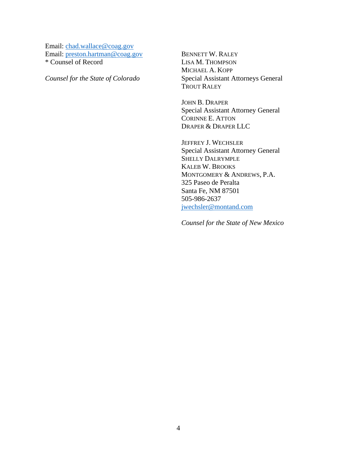Email: [chad.wallace@coag.gov](mailto:chad.wallace@coag.gov) Email: [preston.hartman@coag.gov](mailto:preston.hartman@coag.gov) \* Counsel of Record

*Counsel for the State of Colorado*

BENNETT W. RALEY LISA M. THOMPSON MICHAEL A. KOPP Special Assistant Attorneys General TROUT RALEY

JOHN B. DRAPER Special Assistant Attorney General CORINNE E. ATTON DRAPER & DRAPER LLC

JEFFREY J. WECHSLER Special Assistant Attorney General SHELLY DALRYMPLE KALEB W. BROOKS MONTGOMERY & ANDREWS, P.A. 325 Paseo de Peralta Santa Fe, NM 87501 505-986-2637 [jwechsler@montand.com](mailto:jwechsler@montand.com)

*Counsel for the State of New Mexico*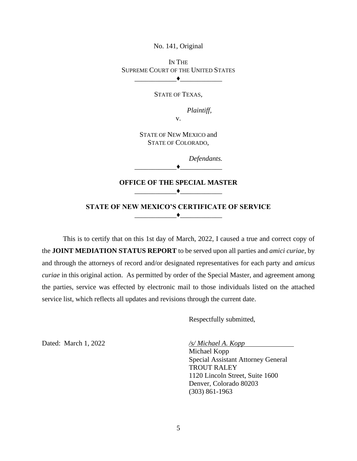No. 141, Original

IN THE SUPREME COURT OF THE UNITED STATES \_\_\_\_\_\_\_\_\_\_\_\_♦\_\_\_\_\_\_\_\_\_\_\_\_

STATE OF TEXAS,

*Plaintiff,*

v.

STATE OF NEW MEXICO and STATE OF COLORADO,

*Defendants.*

 $\blacklozenge$ 

### **OFFICE OF THE SPECIAL MASTER** \_\_\_\_\_\_\_\_\_\_\_\_♦\_\_\_\_\_\_\_\_\_\_\_\_

### **STATE OF NEW MEXICO'S CERTIFICATE OF SERVICE**  $\bullet$

This is to certify that on this 1st day of March, 2022, I caused a true and correct copy of the **JOINT MEDIATION STATUS REPORT** to be served upon all parties and *amici curiae,* by and through the attorneys of record and/or designated representatives for each party and *amicus curiae* in this original action. As permitted by order of the Special Master, and agreement among the parties, service was effected by electronic mail to those individuals listed on the attached service list, which reflects all updates and revisions through the current date.

Respectfully submitted,

Dated: March 1, 2022 */s/ Michael A. Kopp*

Michael Kopp Special Assistant Attorney General TROUT RALEY 1120 Lincoln Street, Suite 1600 Denver, Colorado 80203 (303) 861-1963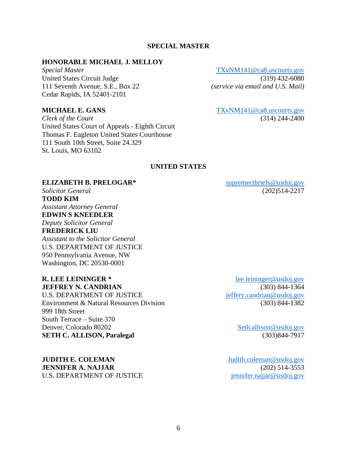### **SPECIAL MASTER**

### **HONORABLE MICHAEL J. MELLOY**

United States Circuit Judge (319) 432-6080 111 Seventh Avenue, S.E., Box 22 *(service via email and U.S. Mail)* Cedar Rapids, IA 52401-2101

*Clerk of the Court* (314) 244-2400 United States Court of Appeals - Eighth Circuit Thomas F. Eagleton United States Courthouse 111 South 10th Street, Suite 24.329 St. Louis, MO 63102

*Special Master* [TXvNM141@ca8.uscourts.gov](mailto:TXvNM141@ca8.uscourts.gov)

**MICHAEL E. GANS** [TXvNM141@ca8.uscourts.gov](mailto:TXvNM141@ca8.uscourts.gov)

### **UNITED STATES**

### **ELIZABETH B. PRELOGAR\*** [supremectbriefs@usdoj.gov](mailto:supremectbriefs@usdoj.gov)

**TODD KIM** *Assistant Attorney General* **EDWIN S KNEEDLER**

*Deputy Solicitor General* **FREDERICK LIU**

*Assistant to the Solicitor General* U.S. DEPARTMENT OF JUSTICE 950 Pennsylvania Avenue, NW Washington, DC 20530-0001

U.S. DEPARTMENT OF JUSTICE interventional effery.candrian@usdoj.gov Environment & Natural Resources Division (303) 844-1382 999 18th Street South Terrace – Suite 370 Denver, Colorado 80202 [Seth.allison@usdoj.gov](mailto:Seth.allison@usdoj.gov) **SETH C. ALLISON, Paralegal** (303)844-7917

**JUDITH E. COLEMAN** [Judith.coleman@usdoj.gov](mailto:Judith.coleman@usdoj.gov) **JENNIFER A. NAJJAR** (202) 514-3553 U.S. DEPARTMENT OF JUSTICE international international property of the international international control of the international control of the international control of the international control of the international control

*Solicitor General* (202)514-2217

**R. LEE LEININGER \*** [lee.leininger@usdoj.gov](mailto:lee.leininger@usdoj.gov) **JEFFREY N. CANDRIAN** (303) 844-1364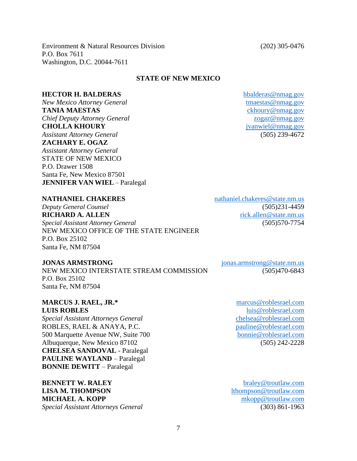Environment & Natural Resources Division (202) 305-0476 P.O. Box 7611 Washington, D.C. 20044-7611

### **STATE OF NEW MEXICO**

### **HECTOR H. BALDERAS** hbalderas @nmag.gov

*New Mexico Attorney General* the setting of the tmaestas @nmag.gov **TANIA MAESTAS** [ckhoury@nmag.gov](mailto:ckhoury@nmag.gov) *Chief Deputy Attorney General* [zogaz@nmag.gov](mailto:zogaz@nmag.gov) **CHOLLA KHOURY** [jvanwiel@nmag.gov](mailto:jvanwiel@nmag.gov) *Assistant Attorney General* (505) 239-4672 **ZACHARY E. OGAZ** *Assistant Attorney General* STATE OF NEW MEXICO P.O. Drawer 1508 Santa Fe, New Mexico 87501 **JENNIFER VAN WIEL** – Paralegal

**NATHANIEL CHAKERES** nathaniel.chakeres@state.nm.us

*Deputy General Counsel* (505)231-4459 **RICHARD A. ALLEN rick.allen@state.nm.us** *Special Assistant Attorney General* (505)570-7754 NEW MEXICO OFFICE OF THE STATE ENGINEER P.O. Box 25102 Santa Fe, NM 87504

NEW MEXICO INTERSTATE STREAM COMMISSION (505)470-6843 P.O. Box 25102 Santa Fe, NM 87504

### **MARCUS J. RAEL, JR.\*** [marcus@roblesrael.com](mailto:marcus@roblesrael.com) **LUIS ROBLES** [luis@roblesrael.com](mailto:luis@roblesrael.com)

*Special Assistant Attorneys General* [chelsea@roblesrael.com](mailto:chelsea@roblesrael.com) ROBLES, RAEL & ANAYA, P.C. [pauline@roblesrael.com](mailto:pauline@roblesrael.com) 500 Marquette Avenue NW, Suite 700 [bonnie@roblesrael.com](mailto:bonnie@roblesrael.com) Albuquerque, New Mexico 87102 (505) 242-2228 **CHELSEA SANDOVAL** - Paralegal **PAULINE WAYLAND** – Paralegal **BONNIE DEWITT** – Paralegal

**BENNETT W. RALEY** [braley@troutlaw.com](mailto:braley@troutlaw.com) **LISA M. THOMPSON** [lthompson@troutlaw.com](mailto:lthompson@troutlaw.com) **MICHAEL A. KOPP** [mkopp@troutlaw.com](mailto:mkopp@troutlaw.com) *Special Assistant Attorneys General* (303) 861-1963

**JONAS ARMSTRONG** jonas.armstrong@state.nm.us

7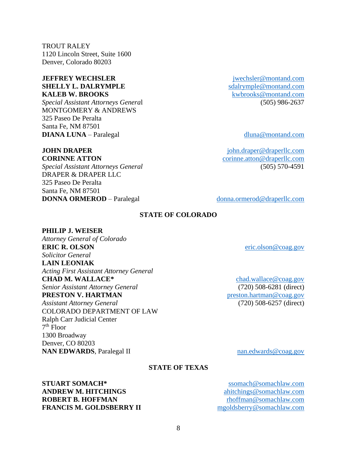TROUT RALEY 1120 Lincoln Street, Suite 1600 Denver, Colorado 80203

### **JEFFREY WECHSLER** [jwechsler@montand.com](mailto:jwechsler@montand.com) **SHELLY L. DALRYMPLE** [sdalrymple@montand.com](mailto:sdalrymple@montand.com) **KALEB W. BROOKS** [kwbrooks@montand.com](mailto:kwbrooks@montand.com)

*Special Assistant Attorneys Genera*l (505) 986-2637 MONTGOMERY & ANDREWS 325 Paseo De Peralta Santa Fe, NM 87501 **DIANA LUNA** – Paralegal [dluna@montand.com](mailto:dluna@montand.com)

*Special Assistant Attorneys General* (505) 570-4591 DRAPER & DRAPER LLC 325 Paseo De Peralta Santa Fe, NM 87501 **DONNA ORMEROD** – Paralegal [donna.ormerod@draperllc.com](mailto:donna.ormerod@draperllc.com)

**JOHN DRAPER** [john.draper@draperllc.com](mailto:john.draper@draperllc.com) **CORINNE ATTON** [corinne.atton@draperllc.com](mailto:corinne.atton@draperllc.com)

# **STATE OF COLORADO**

## **PHILIP J. WEISER**

*Attorney General of Colorado* **ERIC R. OLSON** [eric.olson@coag.gov](mailto:eric.olson@coag.gov) *Solicitor General* **LAIN LEONIAK** *Acting First Assistant Attorney General* **CHAD M. WALLACE\*** [chad.wallace@coag.gov](mailto:chad.wallace@coag.gov) *Senior Assistant Attorney General* (720) 508-6281 (direct) **PRESTON V. HARTMAN** [preston.hartman@coag.gov](mailto:preston.hartman@coag.gov) *Assistant Attorney General* (720) 508-6257 (direct) COLORADO DEPARTMENT OF LAW Ralph Carr Judicial Center 7 th Floor 1300 Broadway Denver, CO 80203 **NAN EDWARDS**, Paralegal II [nan.edwards@coag.gov](mailto:nan.edwards@coag.gov)

# **STATE OF TEXAS**

**STUART SOMACH\*** [ssomach@somachlaw.com](mailto:ssomach@somachlaw.com) **ANDREW M. HITCHINGS** ahitchings @somachlaw.com **ROBERT B. HOFFMAN** [rhoffman@somachlaw.com](mailto:rhoffman@somachlaw.com) **FRANCIS M. GOLDSBERRY II** [mgoldsberry@somachlaw.com](mailto:mgoldsberry@somachlaw.com)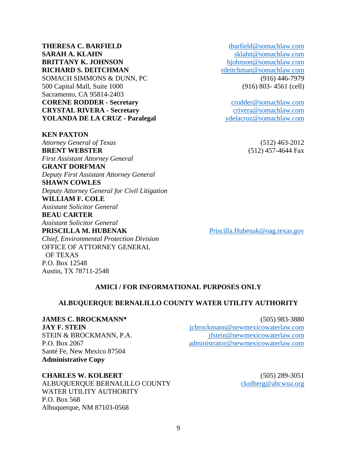9

**THERESA C. BARFIELD** [tbarfield@somachlaw.com](mailto:tbarfield@somachlaw.com) **SARAH A. KLAHN** [sklahn@somachlaw.com](mailto:sklahn@somachlaw.com) **BRITTANY K. JOHNSON** [bjohnson@somachlaw.com](mailto:bjohnson@somachlaw.com) **RICHARD S. DEITCHMAN** [rdeitchman@somachlaw.com](mailto:rdeitchman@somachlaw.com) SOMACH SIMMONS & DUNN, PC (916) 446-7979 500 Capital Mall, Suite 1000 (916) 803- 4561 (cell) Sacramento, CA 95814-2403 **CORENE RODDER - Secretary** [crodder@somachlaw.com](mailto:crodder@somachlaw.com) **CRYSTAL RIVERA - Secretary** [crivera@somachlaw.com](mailto:crivera@somachlaw.com) **YOLANDA DE LA CRUZ - Paralegal** [ydelacruz@somachlaw.com](mailto:ydelacruz@somachlaw.com)

**KEN PAXTON** *Attorney General of Texas* (512) 463-2012 **BRENT WEBSTER** (512) 457-4644 Fax *First Assistant Attorney General* **GRANT DORFMAN** *Deputy First Assistant Attorney General* **SHAWN COWLES** *Deputy Attorney General for Civil Litigation* **WILLIAM F. COLE** *Assistant Solicitor General* **BEAU CARTER** *Assistant Solicitor General* **PRISCILLA M. HUBENAK** [Priscilla.Hubenak@oag.texas.gov](mailto:Priscilla.Hubenak@oag.texas.gov) *Chief, Environmental Protection Division* OFFICE OF ATTORNEY GENERAL OF TEXAS

## **AMICI / FOR INFORMATIONAL PURPOSES ONLY**

## **ALBUQUERQUE BERNALILLO COUNTY WATER UTILITY AUTHORITY**

## **JAMES C. BROCKMANN\*** (505) 983-3880

P.O. Box 12548

Austin, TX 78711-2548

Santé Fe, New Mexico 87504 **Administrative Copy**

**JAY F. STEIN** [jcbrockmann@newmexicowaterlaw.com](mailto:jcbrockmann@newmexicowaterlaw.com) STEIN & BROCKMANN, P.A. [jfstein@newmexicowaterlaw.com](mailto:jfstein@newmexicowaterlaw.com) P.O. Box 2067 [administrator@newmexicowaterlaw.com](mailto:administrator@newmexicowaterlaw.com)

## **CHARLES W. KOLBERT** (505) 289-3051

ALBUQUERQUE BERNALILLO COUNTY [ckolberg@abcwua.org](mailto:ckolberg@abcwua.org) WATER UTILITY AUTHORITY P.O. Box 568 Albuquerque, NM 87103-0568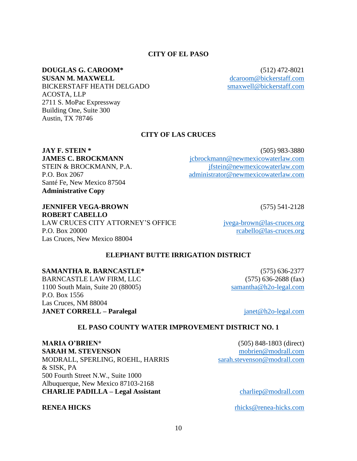# 10

### **CITY OF EL PASO**

# **DOUGLAS G. CAROOM\*** (512) 472-8021

**SUSAN M. MAXWELL** [dcaroom@bickerstaff.com](mailto:dcaroom@bickerstaff.com) BICKERSTAFF HEATH DELGADO [smaxwell@bickerstaff.com](mailto:smaxwell@bickerstaff.com) ACOSTA, LLP 2711 S. MoPac Expressway Building One, Suite 300 Austin, TX 78746

## **CITY OF LAS CRUCES**

Santé Fe, New Mexico 87504 **Administrative Copy**

## **JAY F. STEIN \*** (505) 983-3880 **JAMES C. BROCKMANN** icbrockmann@newmexicowaterlaw.com STEIN & BROCKMANN, P.A. [jfstein@newmexicowaterlaw.com](mailto:jfstein@newmexicowaterlaw.com) P.O. Box 2067 [administrator@newmexicowaterlaw.com](mailto:administrator@newmexicowaterlaw.com)

### **JENNIFER VEGA-BROWN** (575) 541-2128 **ROBERT CABELLO**

LAW CRUCES CITY ATTORNEY'S OFFICE [jvega-brown@las-cruces.org](mailto:jvega-brown@las-cruces.org) P.O. Box 20000 [rcabello@las-cruces.org](mailto:rcabello@las-cruces.org) Las Cruces, New Mexico 88004

## **ELEPHANT BUTTE IRRIGATION DISTRICT**

### **SAMANTHA R. BARNCASTLE\*** (575) 636-2377

BARNCASTLE LAW FIRM, LLC (575) 636-2688 (fax) 1100 South Main, Suite 20 (88005) [samantha@h2o-legal.com](mailto:samantha@h2o-legal.com) P.O. Box 1556 Las Cruces, NM 88004 **JANET CORRELL – Paralegal** [janet@h2o-legal.com](mailto:janet@h2o-legal.com)

## **EL PASO COUNTY WATER IMPROVEMENT DISTRICT NO. 1**

**MARIA O'BRIEN\*** (505) 848-1803 (direct) **SARAH M. STEVENSON** [mobrien@modrall.com](mailto:mobrien@modrall.com) MODRALL, SPERLING, ROEHL, HARRIS [sarah.stevenson@modrall.com](mailto:sarah.stevenson@modrall.com) & SISK, PA 500 Fourth Street N.W., Suite 1000 Albuquerque, New Mexico 87103-2168 **CHARLIE PADILLA – Legal Assistant** [charliep@modrall.com](mailto:charliep@modrall.com)

**RENEA HICKS** rhicks@renea-hicks.com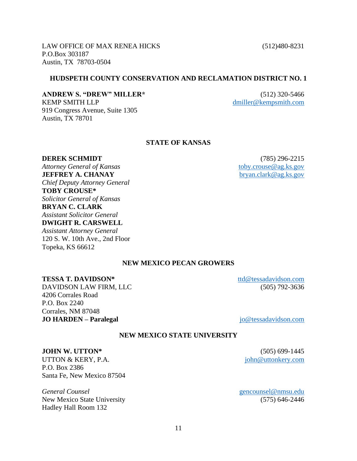**TESSA T. DAVIDSON\*** [ttd@tessadavidson.com](mailto:ttd@tessadavidson.com)

**JO HARDEN – Paralegal** [jo@tessadavidson.com](mailto:jo@tessadavidson.com)

# **NEW MEXICO STATE UNIVERSITY**

P.O. Box 2386 Santa Fe, New Mexico 87504

*General Counsel* [gencounsel@nmsu.edu](mailto:gencounsel@nmsu.edu) New Mexico State University (575) 646-2446 Hadley Hall Room 132

# **HUDSPETH COUNTY CONSERVATION AND RECLAMATION DISTRICT NO. 1**

# **ANDREW S. "DREW" MILLER\*** (512) 320-5466

919 Congress Avenue, Suite 1305

P.O.Box 303187

Austin, TX 78701

Austin, TX 78703-0504

KEMP SMITH LLP [dmiller@kempsmith.com](mailto:dmiller@kempsmith.com)

# **STATE OF KANSAS**

**DEREK SCHMIDT** (785) 296-2215 *Attorney General of Kansas* [toby.crouse@ag.ks.gov](mailto:toby.crouse@ag.ks.gov) **JEFFREY A. CHANAY** [bryan.clark@ag.ks.gov](mailto:bryan.clark@ag.ks.gov) *Chief Deputy Attorney General* **TOBY CROUSE\*** *Solicitor General of Kansas* **BRYAN C. CLARK** *Assistant Solicitor General* **DWIGHT R. CARSWELL** *Assistant Attorney General*  120 S. W. 10th Ave., 2nd Floor Topeka, KS 66612

# **NEW MEXICO PECAN GROWERS**

**JOHN W. UTTON\*** (505) 699-1445 UTTON & KERY, P.A.  $joph@uttonkery.com$ 

## DAVIDSON LAW FIRM, LLC (505) 792-3636 4206 Corrales Road

P.O. Box 2240 Corrales, NM 87048